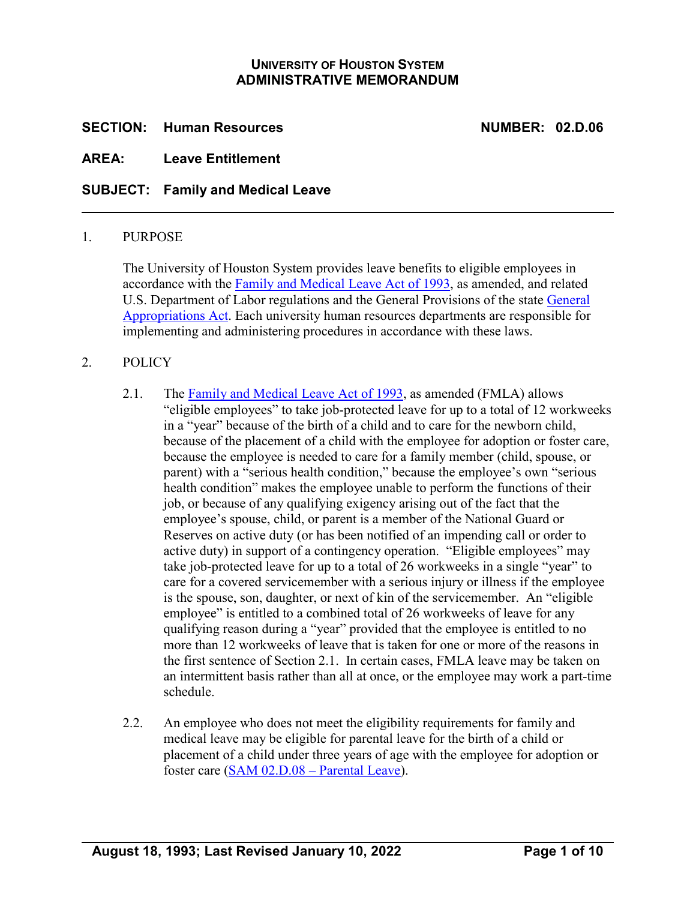# **UNIVERSITY OF HOUSTON SYSTEM ADMINISTRATIVE MEMORANDUM**

# **SECTION: Human Resources NUMBER: 02.D.06**

# **AREA: Leave Entitlement**

# **SUBJECT: Family and Medical Leave**

#### 1. PURPOSE

The University of Houston System provides leave benefits to eligible employees in accordance with the [Family and Medical Leave Act of 1993,](http://www.dol.gov/whd/fmla/index.htm) as amended, and related U.S. Department of Labor regulations and the General Provisions of the state [General](https://www.lbb.texas.gov/)  [Appropriations Act.](https://www.lbb.texas.gov/) Each university human resources departments are responsible for implementing and administering procedures in accordance with these laws.

#### 2. POLICY

- 2.1. The [Family and Medical Leave Act of 1993,](http://www.dol.gov/whd/fmla/index.htm) as amended (FMLA) allows "eligible employees" to take job-protected leave for up to a total of 12 workweeks in a "year" because of the birth of a child and to care for the newborn child, because of the placement of a child with the employee for adoption or foster care, because the employee is needed to care for a family member (child, spouse, or parent) with a "serious health condition," because the employee's own "serious health condition" makes the employee unable to perform the functions of their job, or because of any qualifying exigency arising out of the fact that the employee's spouse, child, or parent is a member of the National Guard or Reserves on active duty (or has been notified of an impending call or order to active duty) in support of a contingency operation. "Eligible employees" may take job-protected leave for up to a total of 26 workweeks in a single "year" to care for a covered servicemember with a serious injury or illness if the employee is the spouse, son, daughter, or next of kin of the servicemember. An "eligible employee" is entitled to a combined total of 26 workweeks of leave for any qualifying reason during a "year" provided that the employee is entitled to no more than 12 workweeks of leave that is taken for one or more of the reasons in the first sentence of Section 2.1. In certain cases, FMLA leave may be taken on an intermittent basis rather than all at once, or the employee may work a part-time schedule.
- 2.2. An employee who does not meet the eligibility requirements for family and medical leave may be eligible for parental leave for the birth of a child or placement of a child under three years of age with the employee for adoption or foster care [\(SAM 02.D.08 –](https://uhsystem.edu/compliance-ethics/_docs/sam/02/2d8.pdf) Parental Leave).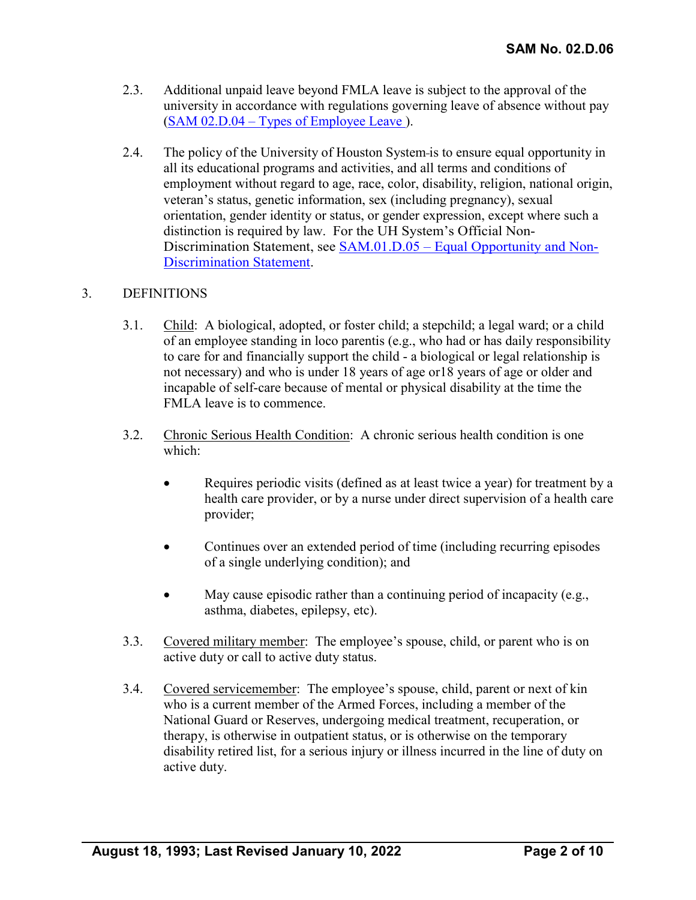- 2.3. Additional unpaid leave beyond FMLA leave is subject to the approval of the university in accordance with regulations governing leave of absence without pay (SAM 02.D.04 – [Types of Employee Leave](https://uhsystem.edu/compliance-ethics/_docs/sam/02/2d41.pdf) ).
- 2.4. The policy of the University of Houston System is to ensure equal opportunity in all its educational programs and activities, and all terms and conditions of employment without regard to age, race, color, disability, religion, national origin, veteran's status, genetic information, sex (including pregnancy), sexual orientation, gender identity or status, or gender expression, except where such a distinction is required by law. For the UH System's Official Non-Discrimination Statement, see SAM.01.D.05 – [Equal Opportunity and Non-](https://uhsystem.edu/compliance-ethics/_docs/sam/01/1d51.pdf)[Discrimination Statement.](https://uhsystem.edu/compliance-ethics/_docs/sam/01/1d51.pdf)

# 3. DEFINITIONS

- 3.1. Child: A biological, adopted, or foster child; a stepchild; a legal ward; or a child of an employee standing in loco parentis (e.g., who had or has daily responsibility to care for and financially support the child - a biological or legal relationship is not necessary) and who is under 18 years of age or18 years of age or older and incapable of self-care because of mental or physical disability at the time the FMLA leave is to commence.
- 3.2. Chronic Serious Health Condition: A chronic serious health condition is one which:
	- Requires periodic visits (defined as at least twice a year) for treatment by a health care provider, or by a nurse under direct supervision of a health care provider;
	- Continues over an extended period of time (including recurring episodes of a single underlying condition); and
	- May cause episodic rather than a continuing period of incapacity (e.g., asthma, diabetes, epilepsy, etc).
- 3.3. Covered military member: The employee's spouse, child, or parent who is on active duty or call to active duty status.
- 3.4. Covered servicemember: The employee's spouse, child, parent or next of kin who is a current member of the Armed Forces, including a member of the National Guard or Reserves, undergoing medical treatment, recuperation, or therapy, is otherwise in outpatient status, or is otherwise on the temporary disability retired list, for a serious injury or illness incurred in the line of duty on active duty.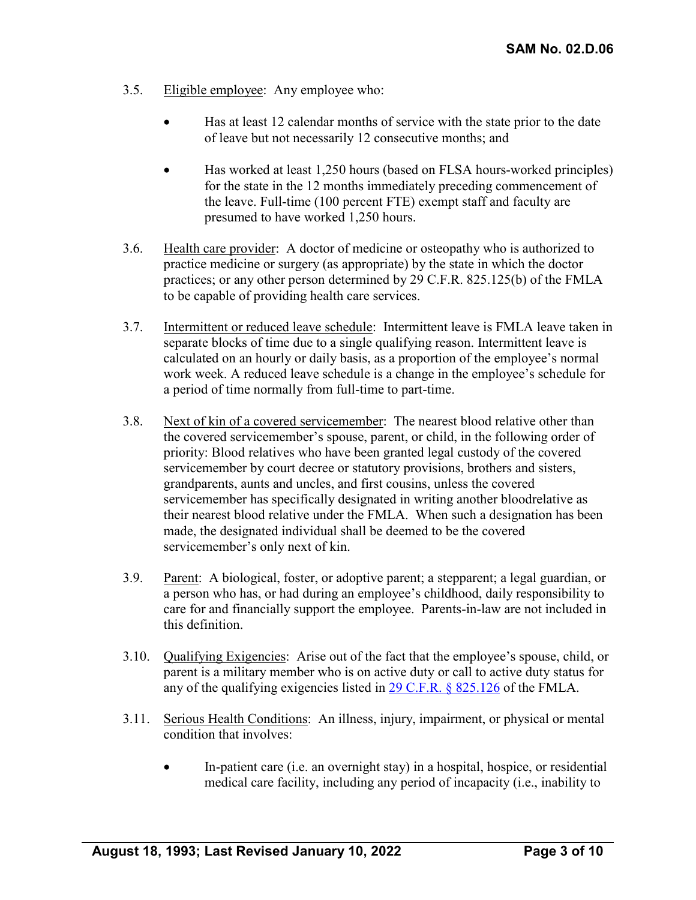- 3.5. Eligible employee: Any employee who:
	- Has at least 12 calendar months of service with the state prior to the date of leave but not necessarily 12 consecutive months; and
	- Has worked at least 1,250 hours (based on FLSA hours-worked principles) for the state in the 12 months immediately preceding commencement of the leave. Full-time (100 percent FTE) exempt staff and faculty are presumed to have worked 1,250 hours.
- 3.6. Health care provider: A doctor of medicine or osteopathy who is authorized to practice medicine or surgery (as appropriate) by the state in which the doctor practices; or any other person determined by 29 C.F.R. 825.125(b) of the FMLA to be capable of providing health care services.
- 3.7. Intermittent or reduced leave schedule: Intermittent leave is FMLA leave taken in separate blocks of time due to a single qualifying reason. Intermittent leave is calculated on an hourly or daily basis, as a proportion of the employee's normal work week. A reduced leave schedule is a change in the employee's schedule for a period of time normally from full-time to part-time.
- 3.8. Next of kin of a covered servicemember: The nearest blood relative other than the covered servicemember's spouse, parent, or child, in the following order of priority: Blood relatives who have been granted legal custody of the covered servicemember by court decree or statutory provisions, brothers and sisters, grandparents, aunts and uncles, and first cousins, unless the covered servicemember has specifically designated in writing another bloodrelative as their nearest blood relative under the FMLA. When such a designation has been made, the designated individual shall be deemed to be the covered servicemember's only next of kin.
- 3.9. Parent: A biological, foster, or adoptive parent; a stepparent; a legal guardian, or a person who has, or had during an employee's childhood, daily responsibility to care for and financially support the employee. Parents-in-law are not included in this definition.
- 3.10. Qualifying Exigencies: Arise out of the fact that the employee's spouse, child, or parent is a military member who is on active duty or call to active duty status for any of the qualifying exigencies listed in  $29 \text{ C.F.R.}$  § 825.126 of the FMLA.
- 3.11. Serious Health Conditions: An illness, injury, impairment, or physical or mental condition that involves:
	- In-patient care (i.e. an overnight stay) in a hospital, hospice, or residential medical care facility, including any period of incapacity (i.e., inability to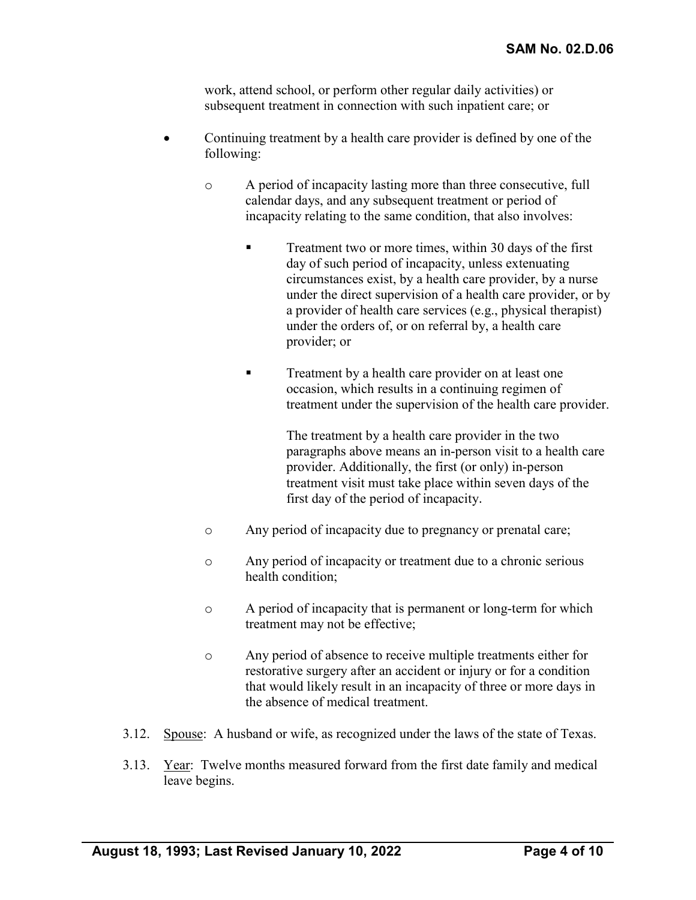work, attend school, or perform other regular daily activities) or subsequent treatment in connection with such inpatient care; or

- Continuing treatment by a health care provider is defined by one of the following:
	- o A period of incapacity lasting more than three consecutive, full calendar days, and any subsequent treatment or period of incapacity relating to the same condition, that also involves:
		- Treatment two or more times, within 30 days of the first day of such period of incapacity, unless extenuating circumstances exist, by a health care provider, by a nurse under the direct supervision of a health care provider, or by a provider of health care services (e.g., physical therapist) under the orders of, or on referral by, a health care provider; or
		- **Treatment by a health care provider on at least one** occasion, which results in a continuing regimen of treatment under the supervision of the health care provider.

The treatment by a health care provider in the two paragraphs above means an in-person visit to a health care provider. Additionally, the first (or only) in-person treatment visit must take place within seven days of the first day of the period of incapacity.

- o Any period of incapacity due to pregnancy or prenatal care;
- o Any period of incapacity or treatment due to a chronic serious health condition;
- o A period of incapacity that is permanent or long-term for which treatment may not be effective;
- o Any period of absence to receive multiple treatments either for restorative surgery after an accident or injury or for a condition that would likely result in an incapacity of three or more days in the absence of medical treatment.
- 3.12. Spouse: A husband or wife, as recognized under the laws of the state of Texas.
- 3.13. Year: Twelve months measured forward from the first date family and medical leave begins.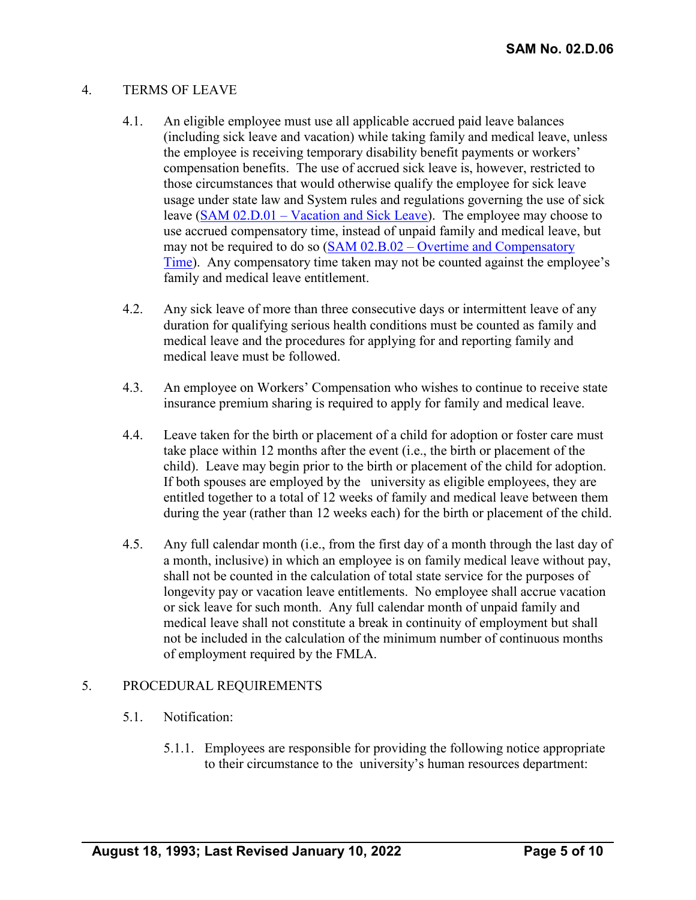### 4. TERMS OF LEAVE

- 4.1. An eligible employee must use all applicable accrued paid leave balances (including sick leave and vacation) while taking family and medical leave, unless the employee is receiving temporary disability benefit payments or workers' compensation benefits. The use of accrued sick leave is, however, restricted to those circumstances that would otherwise qualify the employee for sick leave usage under state law and System rules and regulations governing the use of sick leave (SAM 02.D.01 – [Vacation and Sick Leave\)](https://uhsystem.edu/compliance-ethics/_docs/sam/02/2d1.pdf). The employee may choose to use accrued compensatory time, instead of unpaid family and medical leave, but may not be required to do so (SAM 02.B.02 – [Overtime and Compensatory](https://uhsystem.edu/compliance-ethics/_docs/sam/02/2b2.pdf)  [Time\)](https://uhsystem.edu/compliance-ethics/_docs/sam/02/2b2.pdf). Any compensatory time taken may not be counted against the employee's family and medical leave entitlement.
- 4.2. Any sick leave of more than three consecutive days or intermittent leave of any duration for qualifying serious health conditions must be counted as family and medical leave and the procedures for applying for and reporting family and medical leave must be followed.
- 4.3. An employee on Workers' Compensation who wishes to continue to receive state insurance premium sharing is required to apply for family and medical leave.
- 4.4. Leave taken for the birth or placement of a child for adoption or foster care must take place within 12 months after the event (i.e., the birth or placement of the child). Leave may begin prior to the birth or placement of the child for adoption. If both spouses are employed by the university as eligible employees, they are entitled together to a total of 12 weeks of family and medical leave between them during the year (rather than 12 weeks each) for the birth or placement of the child.
- 4.5. Any full calendar month (i.e., from the first day of a month through the last day of a month, inclusive) in which an employee is on family medical leave without pay, shall not be counted in the calculation of total state service for the purposes of longevity pay or vacation leave entitlements. No employee shall accrue vacation or sick leave for such month. Any full calendar month of unpaid family and medical leave shall not constitute a break in continuity of employment but shall not be included in the calculation of the minimum number of continuous months of employment required by the FMLA.

# 5. PROCEDURAL REQUIREMENTS

- 5.1. Notification:
	- 5.1.1. Employees are responsible for providing the following notice appropriate to their circumstance to the university's human resources department: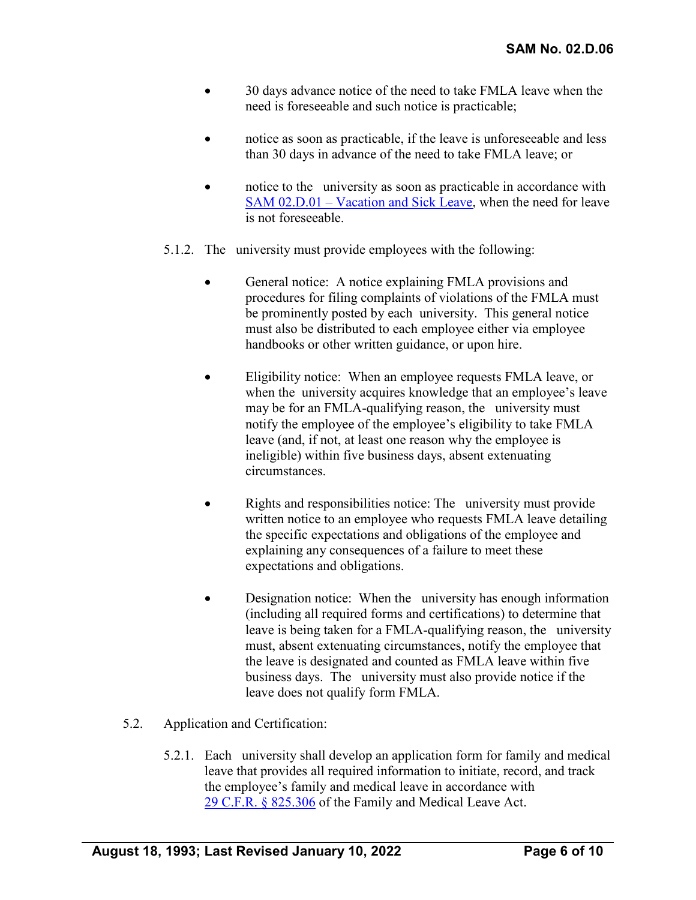- 30 days advance notice of the need to take FMLA leave when the need is foreseeable and such notice is practicable;
- notice as soon as practicable, if the leave is unforeseeable and less than 30 days in advance of the need to take FMLA leave; or
- notice to the university as soon as practicable in accordance with SAM 02.D.01 – [Vacation and Sick Leave,](https://uhsystem.edu/compliance-ethics/_docs/sam/02/2d1.pdf) when the need for leave is not foreseeable.
- 5.1.2. The university must provide employees with the following:
	- General notice: A notice explaining FMLA provisions and procedures for filing complaints of violations of the FMLA must be prominently posted by each university. This general notice must also be distributed to each employee either via employee handbooks or other written guidance, or upon hire.
	- Eligibility notice: When an employee requests FMLA leave, or when the university acquires knowledge that an employee's leave may be for an FMLA-qualifying reason, the university must notify the employee of the employee's eligibility to take FMLA leave (and, if not, at least one reason why the employee is ineligible) within five business days, absent extenuating circumstances.
	- Rights and responsibilities notice: The university must provide written notice to an employee who requests FMLA leave detailing the specific expectations and obligations of the employee and explaining any consequences of a failure to meet these expectations and obligations.
	- Designation notice: When the university has enough information (including all required forms and certifications) to determine that leave is being taken for a FMLA-qualifying reason, the university must, absent extenuating circumstances, notify the employee that the leave is designated and counted as FMLA leave within five business days. The university must also provide notice if the leave does not qualify form FMLA.
- 5.2. Application and Certification:
	- 5.2.1. Each university shall develop an application form for family and medical leave that provides all required information to initiate, record, and track the employee's family and medical leave in accordance with [29 C.F.R. § 825.306](http://frwebgate.access.gpo.gov/cgi-bin/get-cfr.cgi?TITLE=29&PART=825&SECTION=306&TYPE=TEXT) of the Family and Medical Leave Act.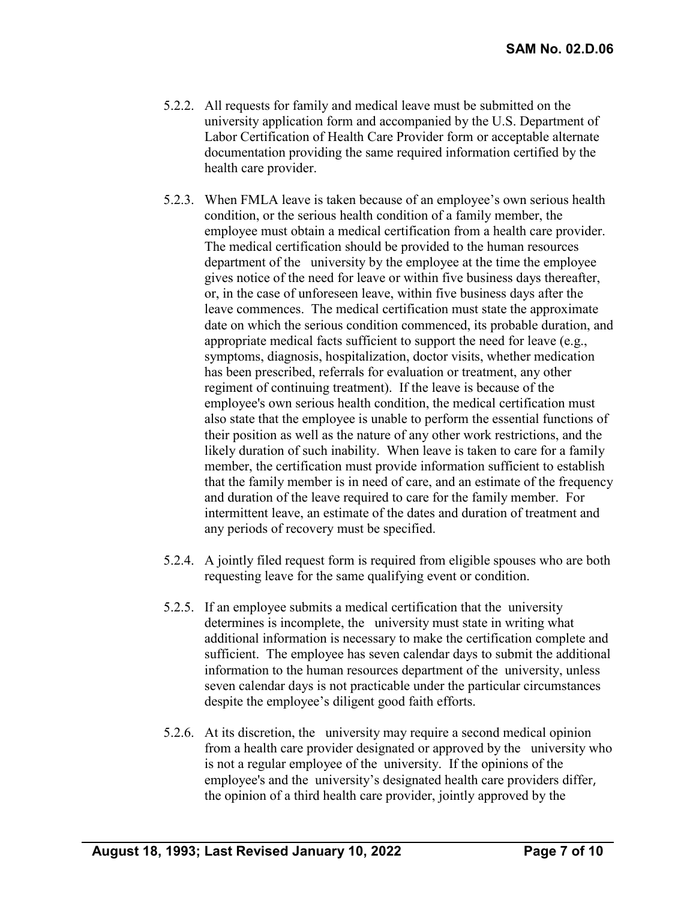- 5.2.2. All requests for family and medical leave must be submitted on the university application form and accompanied by the U.S. Department of Labor Certification of Health Care Provider form or acceptable alternate documentation providing the same required information certified by the health care provider.
- 5.2.3. When FMLA leave is taken because of an employee's own serious health condition, or the serious health condition of a family member, the employee must obtain a medical certification from a health care provider. The medical certification should be provided to the human resources department of the university by the employee at the time the employee gives notice of the need for leave or within five business days thereafter, or, in the case of unforeseen leave, within five business days after the leave commences. The medical certification must state the approximate date on which the serious condition commenced, its probable duration, and appropriate medical facts sufficient to support the need for leave (e.g., symptoms, diagnosis, hospitalization, doctor visits, whether medication has been prescribed, referrals for evaluation or treatment, any other regiment of continuing treatment). If the leave is because of the employee's own serious health condition, the medical certification must also state that the employee is unable to perform the essential functions of their position as well as the nature of any other work restrictions, and the likely duration of such inability. When leave is taken to care for a family member, the certification must provide information sufficient to establish that the family member is in need of care, and an estimate of the frequency and duration of the leave required to care for the family member. For intermittent leave, an estimate of the dates and duration of treatment and any periods of recovery must be specified.
- 5.2.4. A jointly filed request form is required from eligible spouses who are both requesting leave for the same qualifying event or condition.
- 5.2.5. If an employee submits a medical certification that the university determines is incomplete, the university must state in writing what additional information is necessary to make the certification complete and sufficient. The employee has seven calendar days to submit the additional information to the human resources department of the university, unless seven calendar days is not practicable under the particular circumstances despite the employee's diligent good faith efforts.
- 5.2.6. At its discretion, the university may require a second medical opinion from a health care provider designated or approved by the university who is not a regular employee of the university. If the opinions of the employee's and the university's designated health care providers differ, the opinion of a third health care provider, jointly approved by the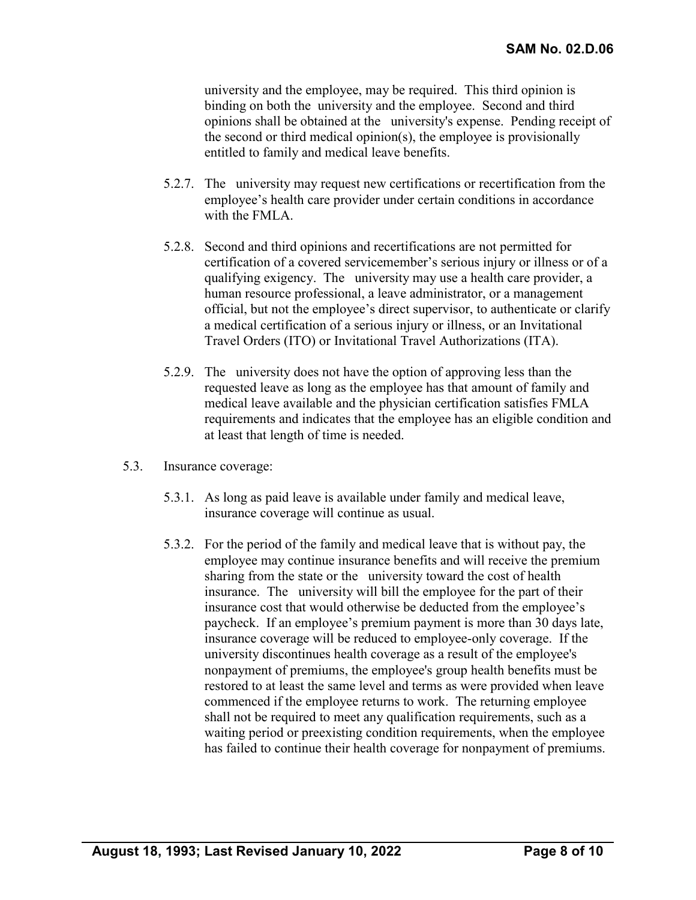university and the employee, may be required. This third opinion is binding on both the university and the employee. Second and third opinions shall be obtained at the university's expense. Pending receipt of the second or third medical opinion(s), the employee is provisionally entitled to family and medical leave benefits.

- 5.2.7. The university may request new certifications or recertification from the employee's health care provider under certain conditions in accordance with the FMLA.
- 5.2.8. Second and third opinions and recertifications are not permitted for certification of a covered servicemember's serious injury or illness or of a qualifying exigency. The university may use a health care provider, a human resource professional, a leave administrator, or a management official, but not the employee's direct supervisor, to authenticate or clarify a medical certification of a serious injury or illness, or an Invitational Travel Orders (ITO) or Invitational Travel Authorizations (ITA).
- 5.2.9. The university does not have the option of approving less than the requested leave as long as the employee has that amount of family and medical leave available and the physician certification satisfies FMLA requirements and indicates that the employee has an eligible condition and at least that length of time is needed.
- 5.3. Insurance coverage:
	- 5.3.1. As long as paid leave is available under family and medical leave, insurance coverage will continue as usual.
	- 5.3.2. For the period of the family and medical leave that is without pay, the employee may continue insurance benefits and will receive the premium sharing from the state or the university toward the cost of health insurance. The university will bill the employee for the part of their insurance cost that would otherwise be deducted from the employee's paycheck. If an employee's premium payment is more than 30 days late, insurance coverage will be reduced to employee-only coverage. If the university discontinues health coverage as a result of the employee's nonpayment of premiums, the employee's group health benefits must be restored to at least the same level and terms as were provided when leave commenced if the employee returns to work. The returning employee shall not be required to meet any qualification requirements, such as a waiting period or preexisting condition requirements, when the employee has failed to continue their health coverage for nonpayment of premiums.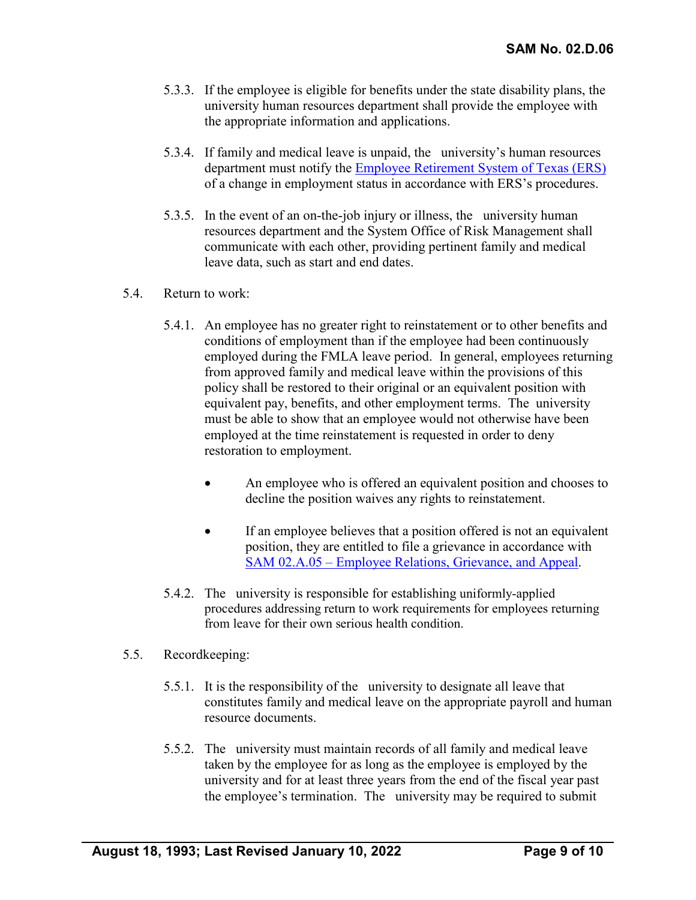- 5.3.3. If the employee is eligible for benefits under the state disability plans, the university human resources department shall provide the employee with the appropriate information and applications.
- 5.3.4. If family and medical leave is unpaid, the university's human resources department must notify the **Employee Retirement System of Texas (ERS)** of a change in employment status in accordance with ERS's procedures.
- 5.3.5. In the event of an on-the-job injury or illness, the university human resources department and the System Office of Risk Management shall communicate with each other, providing pertinent family and medical leave data, such as start and end dates.
- 5.4. Return to work:
	- 5.4.1. An employee has no greater right to reinstatement or to other benefits and conditions of employment than if the employee had been continuously employed during the FMLA leave period. In general, employees returning from approved family and medical leave within the provisions of this policy shall be restored to their original or an equivalent position with equivalent pay, benefits, and other employment terms. The university must be able to show that an employee would not otherwise have been employed at the time reinstatement is requested in order to deny restoration to employment.
		- An employee who is offered an equivalent position and chooses to decline the position waives any rights to reinstatement.
		- If an employee believes that a position offered is not an equivalent position, they are entitled to file a grievance in accordance with SAM 02.A.05 – [Employee Relations, Grievance, and Appeal.](https://uhsystem.edu/compliance-ethics/_docs/sam/02/2a5.pdf)
	- 5.4.2. The university is responsible for establishing uniformly-applied procedures addressing return to work requirements for employees returning from leave for their own serious health condition.

#### 5.5. Recordkeeping:

- 5.5.1. It is the responsibility of the university to designate all leave that constitutes family and medical leave on the appropriate payroll and human resource documents.
- 5.5.2. The university must maintain records of all family and medical leave taken by the employee for as long as the employee is employed by the university and for at least three years from the end of the fiscal year past the employee's termination. The university may be required to submit